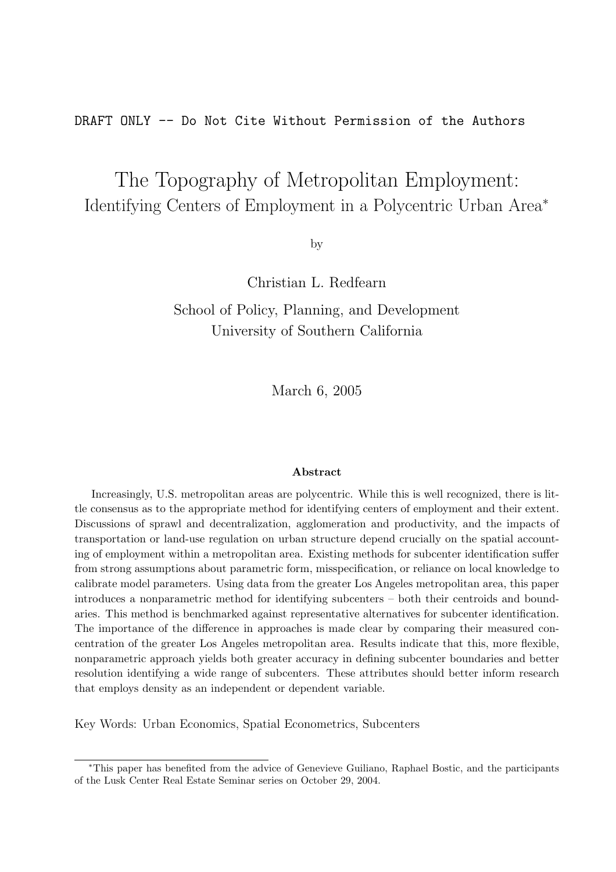DRAFT ONLY -- Do Not Cite Without Permission of the Authors

# The Topography of Metropolitan Employment: Identifying Centers of Employment in a Polycentric Urban Area<sup>∗</sup>

by

Christian L. Redfearn

School of Policy, Planning, and Development University of Southern California

March 6, 2005

#### Abstract

Increasingly, U.S. metropolitan areas are polycentric. While this is well recognized, there is little consensus as to the appropriate method for identifying centers of employment and their extent. Discussions of sprawl and decentralization, agglomeration and productivity, and the impacts of transportation or land-use regulation on urban structure depend crucially on the spatial accounting of employment within a metropolitan area. Existing methods for subcenter identification suffer from strong assumptions about parametric form, misspecification, or reliance on local knowledge to calibrate model parameters. Using data from the greater Los Angeles metropolitan area, this paper introduces a nonparametric method for identifying subcenters – both their centroids and boundaries. This method is benchmarked against representative alternatives for subcenter identification. The importance of the difference in approaches is made clear by comparing their measured concentration of the greater Los Angeles metropolitan area. Results indicate that this, more flexible, nonparametric approach yields both greater accuracy in defining subcenter boundaries and better resolution identifying a wide range of subcenters. These attributes should better inform research that employs density as an independent or dependent variable.

Key Words: Urban Economics, Spatial Econometrics, Subcenters

<sup>∗</sup>This paper has benefited from the advice of Genevieve Guiliano, Raphael Bostic, and the participants of the Lusk Center Real Estate Seminar series on October 29, 2004.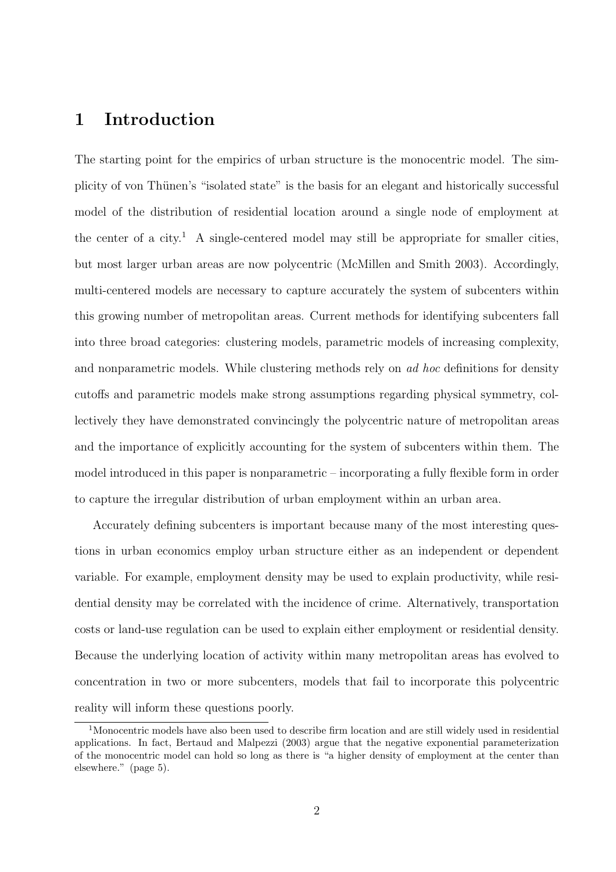# 1 Introduction

The starting point for the empirics of urban structure is the monocentric model. The simplicity of von Thünen's "isolated state" is the basis for an elegant and historically successful model of the distribution of residential location around a single node of employment at the center of a city.<sup>1</sup> A single-centered model may still be appropriate for smaller cities, but most larger urban areas are now polycentric (McMillen and Smith 2003). Accordingly, multi-centered models are necessary to capture accurately the system of subcenters within this growing number of metropolitan areas. Current methods for identifying subcenters fall into three broad categories: clustering models, parametric models of increasing complexity, and nonparametric models. While clustering methods rely on *ad hoc* definitions for density cutoffs and parametric models make strong assumptions regarding physical symmetry, collectively they have demonstrated convincingly the polycentric nature of metropolitan areas and the importance of explicitly accounting for the system of subcenters within them. The model introduced in this paper is nonparametric – incorporating a fully flexible form in order to capture the irregular distribution of urban employment within an urban area.

Accurately defining subcenters is important because many of the most interesting questions in urban economics employ urban structure either as an independent or dependent variable. For example, employment density may be used to explain productivity, while residential density may be correlated with the incidence of crime. Alternatively, transportation costs or land-use regulation can be used to explain either employment or residential density. Because the underlying location of activity within many metropolitan areas has evolved to concentration in two or more subcenters, models that fail to incorporate this polycentric reality will inform these questions poorly.

<sup>&</sup>lt;sup>1</sup>Monocentric models have also been used to describe firm location and are still widely used in residential applications. In fact, Bertaud and Malpezzi (2003) argue that the negative exponential parameterization of the monocentric model can hold so long as there is "a higher density of employment at the center than elsewhere." (page 5).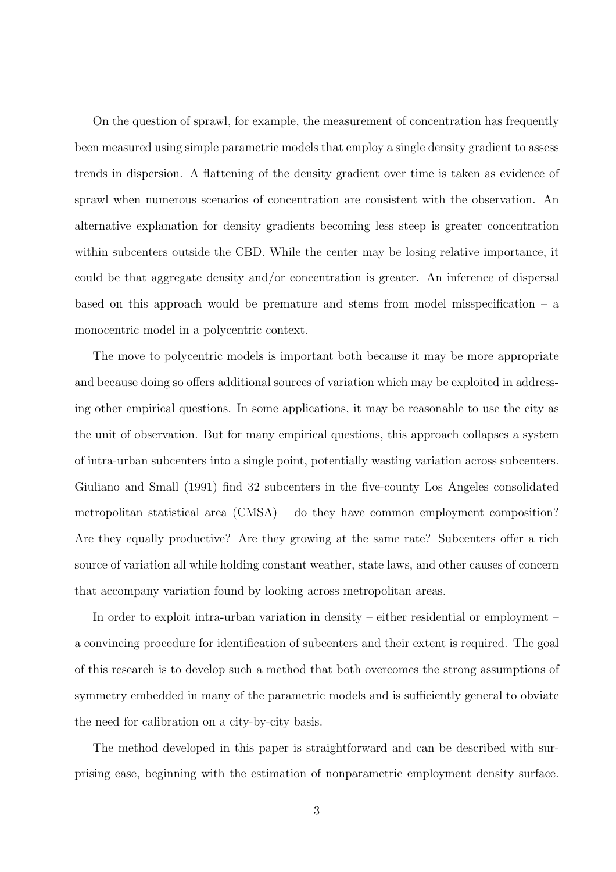On the question of sprawl, for example, the measurement of concentration has frequently been measured using simple parametric models that employ a single density gradient to assess trends in dispersion. A flattening of the density gradient over time is taken as evidence of sprawl when numerous scenarios of concentration are consistent with the observation. An alternative explanation for density gradients becoming less steep is greater concentration within subcenters outside the CBD. While the center may be losing relative importance, it could be that aggregate density and/or concentration is greater. An inference of dispersal based on this approach would be premature and stems from model misspecification  $-$  a monocentric model in a polycentric context.

The move to polycentric models is important both because it may be more appropriate and because doing so offers additional sources of variation which may be exploited in addressing other empirical questions. In some applications, it may be reasonable to use the city as the unit of observation. But for many empirical questions, this approach collapses a system of intra-urban subcenters into a single point, potentially wasting variation across subcenters. Giuliano and Small (1991) find 32 subcenters in the five-county Los Angeles consolidated metropolitan statistical area (CMSA) – do they have common employment composition? Are they equally productive? Are they growing at the same rate? Subcenters offer a rich source of variation all while holding constant weather, state laws, and other causes of concern that accompany variation found by looking across metropolitan areas.

In order to exploit intra-urban variation in density – either residential or employment – a convincing procedure for identification of subcenters and their extent is required. The goal of this research is to develop such a method that both overcomes the strong assumptions of symmetry embedded in many of the parametric models and is sufficiently general to obviate the need for calibration on a city-by-city basis.

The method developed in this paper is straightforward and can be described with surprising ease, beginning with the estimation of nonparametric employment density surface.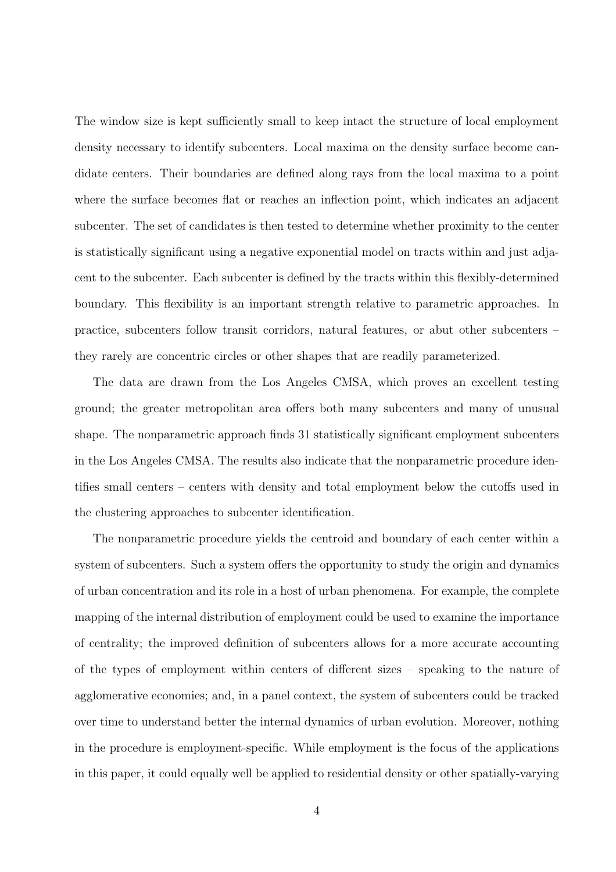The window size is kept sufficiently small to keep intact the structure of local employment density necessary to identify subcenters. Local maxima on the density surface become candidate centers. Their boundaries are defined along rays from the local maxima to a point where the surface becomes flat or reaches an inflection point, which indicates an adjacent subcenter. The set of candidates is then tested to determine whether proximity to the center is statistically significant using a negative exponential model on tracts within and just adjacent to the subcenter. Each subcenter is defined by the tracts within this flexibly-determined boundary. This flexibility is an important strength relative to parametric approaches. In practice, subcenters follow transit corridors, natural features, or abut other subcenters – they rarely are concentric circles or other shapes that are readily parameterized.

The data are drawn from the Los Angeles CMSA, which proves an excellent testing ground; the greater metropolitan area offers both many subcenters and many of unusual shape. The nonparametric approach finds 31 statistically significant employment subcenters in the Los Angeles CMSA. The results also indicate that the nonparametric procedure identifies small centers – centers with density and total employment below the cutoffs used in the clustering approaches to subcenter identification.

The nonparametric procedure yields the centroid and boundary of each center within a system of subcenters. Such a system offers the opportunity to study the origin and dynamics of urban concentration and its role in a host of urban phenomena. For example, the complete mapping of the internal distribution of employment could be used to examine the importance of centrality; the improved definition of subcenters allows for a more accurate accounting of the types of employment within centers of different sizes – speaking to the nature of agglomerative economies; and, in a panel context, the system of subcenters could be tracked over time to understand better the internal dynamics of urban evolution. Moreover, nothing in the procedure is employment-specific. While employment is the focus of the applications in this paper, it could equally well be applied to residential density or other spatially-varying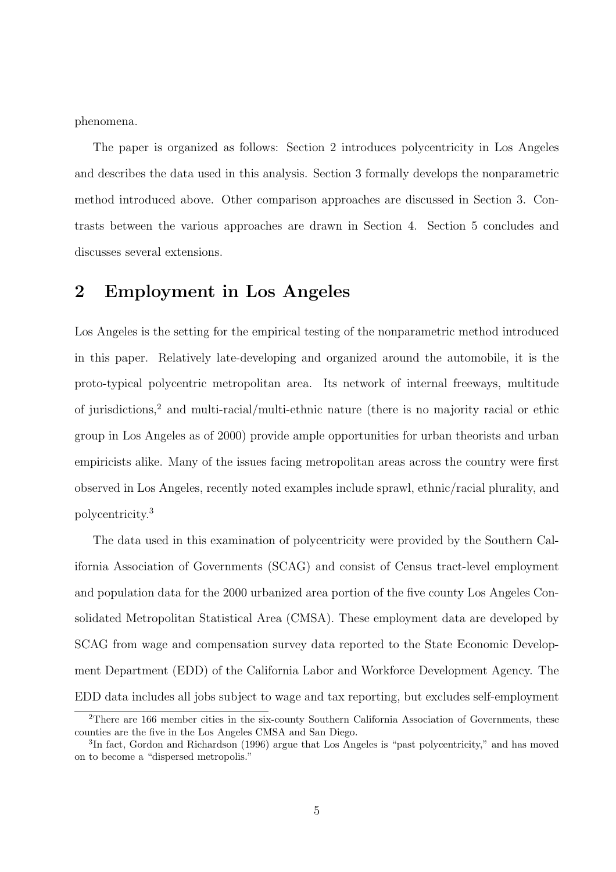phenomena.

The paper is organized as follows: Section 2 introduces polycentricity in Los Angeles and describes the data used in this analysis. Section 3 formally develops the nonparametric method introduced above. Other comparison approaches are discussed in Section 3. Contrasts between the various approaches are drawn in Section 4. Section 5 concludes and discusses several extensions.

# 2 Employment in Los Angeles

Los Angeles is the setting for the empirical testing of the nonparametric method introduced in this paper. Relatively late-developing and organized around the automobile, it is the proto-typical polycentric metropolitan area. Its network of internal freeways, multitude of jurisdictions,<sup>2</sup> and multi-racial/multi-ethnic nature (there is no majority racial or ethic group in Los Angeles as of 2000) provide ample opportunities for urban theorists and urban empiricists alike. Many of the issues facing metropolitan areas across the country were first observed in Los Angeles, recently noted examples include sprawl, ethnic/racial plurality, and polycentricity.<sup>3</sup>

The data used in this examination of polycentricity were provided by the Southern California Association of Governments (SCAG) and consist of Census tract-level employment and population data for the 2000 urbanized area portion of the five county Los Angeles Consolidated Metropolitan Statistical Area (CMSA). These employment data are developed by SCAG from wage and compensation survey data reported to the State Economic Development Department (EDD) of the California Labor and Workforce Development Agency. The EDD data includes all jobs subject to wage and tax reporting, but excludes self-employment

<sup>&</sup>lt;sup>2</sup>There are 166 member cities in the six-county Southern California Association of Governments, these counties are the five in the Los Angeles CMSA and San Diego.

<sup>&</sup>lt;sup>3</sup>In fact, Gordon and Richardson (1996) argue that Los Angeles is "past polycentricity," and has moved on to become a "dispersed metropolis."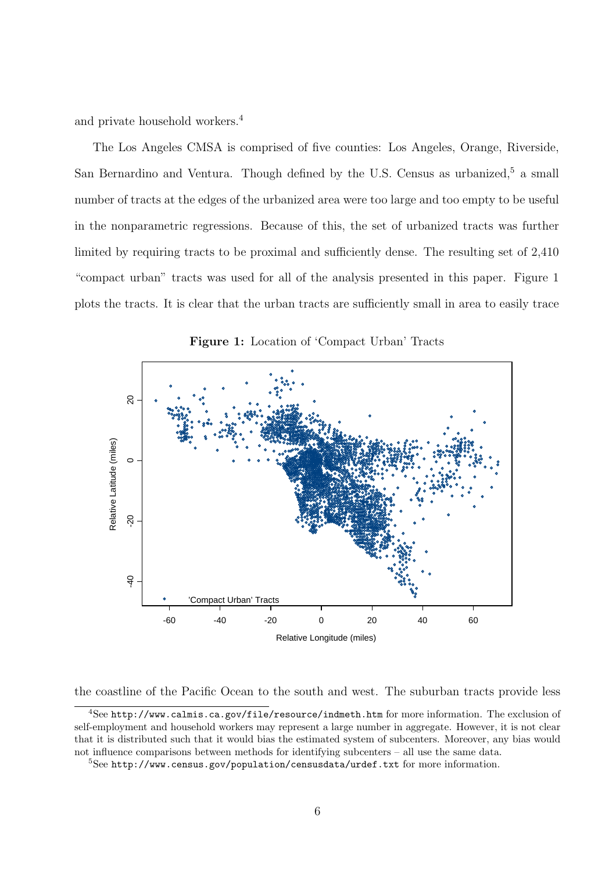and private household workers.<sup>4</sup>

The Los Angeles CMSA is comprised of five counties: Los Angeles, Orange, Riverside, San Bernardino and Ventura. Though defined by the U.S. Census as urbanized,<sup>5</sup> a small number of tracts at the edges of the urbanized area were too large and too empty to be useful in the nonparametric regressions. Because of this, the set of urbanized tracts was further limited by requiring tracts to be proximal and sufficiently dense. The resulting set of 2,410 "compact urban" tracts was used for all of the analysis presented in this paper. Figure 1 plots the tracts. It is clear that the urban tracts are sufficiently small in area to easily trace



Figure 1: Location of 'Compact Urban' Tracts

the coastline of the Pacific Ocean to the south and west. The suburban tracts provide less

<sup>4</sup>See http://www.calmis.ca.gov/file/resource/indmeth.htm for more information. The exclusion of self-employment and household workers may represent a large number in aggregate. However, it is not clear that it is distributed such that it would bias the estimated system of subcenters. Moreover, any bias would not influence comparisons between methods for identifying subcenters – all use the same data.

 $5$ See http://www.census.gov/population/censusdata/urdef.txt for more information.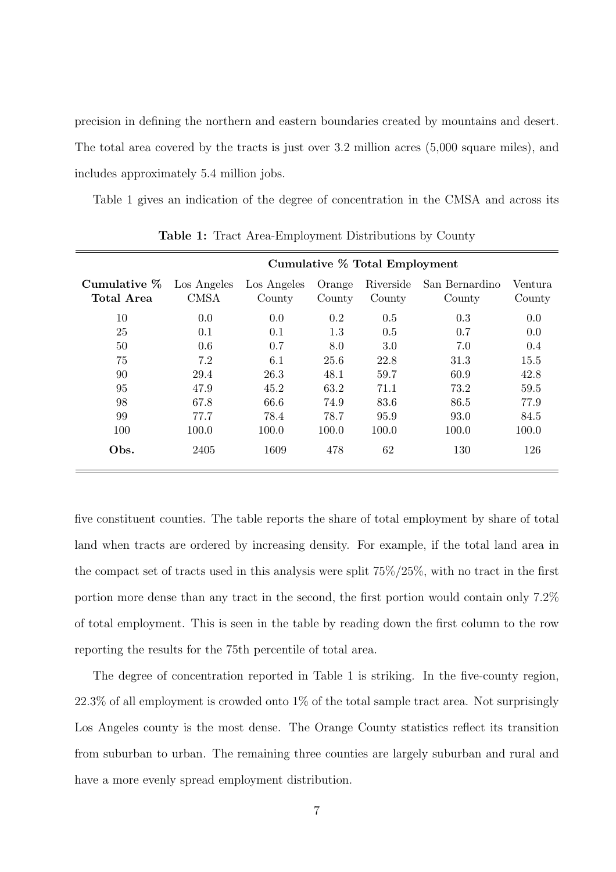precision in defining the northern and eastern boundaries created by mountains and desert. The total area covered by the tracts is just over 3.2 million acres (5,000 square miles), and includes approximately 5.4 million jobs.

Table 1 gives an indication of the degree of concentration in the CMSA and across its

| Cumulative % Total Employment |                            |                       |                  |                     |                          |                   |  |  |  |
|-------------------------------|----------------------------|-----------------------|------------------|---------------------|--------------------------|-------------------|--|--|--|
| Cumulative $\%$<br>Total Area | Los Angeles<br><b>CMSA</b> | Los Angeles<br>County | Orange<br>County | Riverside<br>County | San Bernardino<br>County | Ventura<br>County |  |  |  |
| 10                            | 0.0                        | 0.0                   | 0.2              | 0.5                 | 0.3                      | 0.0               |  |  |  |
| 25                            | 0.1                        | 0.1                   | 1.3              | 0.5                 | 0.7                      | 0.0               |  |  |  |
| 50                            | 0.6                        | 0.7                   | 8.0              | 3.0                 | 7.0                      | 0.4               |  |  |  |
| 75                            | 7.2                        | 6.1                   | 25.6             | 22.8                | 31.3                     | 15.5              |  |  |  |
| 90                            | 29.4                       | 26.3                  | 48.1             | 59.7                | 60.9                     | 42.8              |  |  |  |
| 95                            | 47.9                       | 45.2                  | 63.2             | 71.1                | 73.2                     | 59.5              |  |  |  |
| 98                            | 67.8                       | 66.6                  | 74.9             | 83.6                | 86.5                     | 77.9              |  |  |  |
| 99                            | 77.7                       | 78.4                  | 78.7             | 95.9                | 93.0                     | 84.5              |  |  |  |
| 100                           | 100.0                      | 100.0                 | 100.0            | 100.0               | 100.0                    | 100.0             |  |  |  |
| Obs.                          | 2405                       | 1609                  | 478              | 62                  | 130                      | 126               |  |  |  |

Table 1: Tract Area-Employment Distributions by County

five constituent counties. The table reports the share of total employment by share of total land when tracts are ordered by increasing density. For example, if the total land area in the compact set of tracts used in this analysis were split 75%/25%, with no tract in the first portion more dense than any tract in the second, the first portion would contain only 7.2% of total employment. This is seen in the table by reading down the first column to the row reporting the results for the 75th percentile of total area.

The degree of concentration reported in Table 1 is striking. In the five-county region,  $22.3\%$  of all employment is crowded onto  $1\%$  of the total sample tract area. Not surprisingly Los Angeles county is the most dense. The Orange County statistics reflect its transition from suburban to urban. The remaining three counties are largely suburban and rural and have a more evenly spread employment distribution.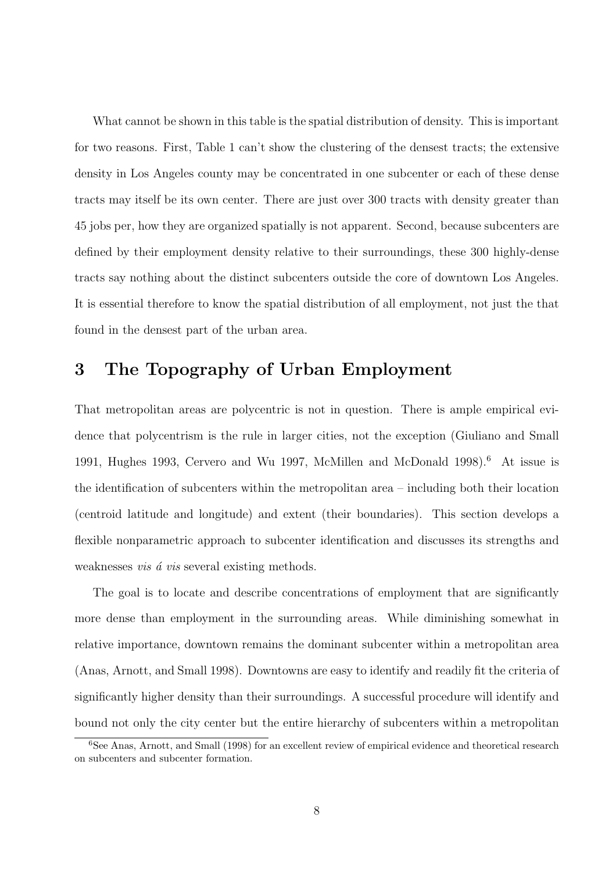What cannot be shown in this table is the spatial distribution of density. This is important for two reasons. First, Table 1 can't show the clustering of the densest tracts; the extensive density in Los Angeles county may be concentrated in one subcenter or each of these dense tracts may itself be its own center. There are just over 300 tracts with density greater than 45 jobs per, how they are organized spatially is not apparent. Second, because subcenters are defined by their employment density relative to their surroundings, these 300 highly-dense tracts say nothing about the distinct subcenters outside the core of downtown Los Angeles. It is essential therefore to know the spatial distribution of all employment, not just the that found in the densest part of the urban area.

# 3 The Topography of Urban Employment

That metropolitan areas are polycentric is not in question. There is ample empirical evidence that polycentrism is the rule in larger cities, not the exception (Giuliano and Small 1991, Hughes 1993, Cervero and Wu 1997, McMillen and McDonald 1998).<sup>6</sup> At issue is the identification of subcenters within the metropolitan area – including both their location (centroid latitude and longitude) and extent (their boundaries). This section develops a flexible nonparametric approach to subcenter identification and discusses its strengths and weaknesses *vis*  $\acute{a}$  *vis* several existing methods.

The goal is to locate and describe concentrations of employment that are significantly more dense than employment in the surrounding areas. While diminishing somewhat in relative importance, downtown remains the dominant subcenter within a metropolitan area (Anas, Arnott, and Small 1998). Downtowns are easy to identify and readily fit the criteria of significantly higher density than their surroundings. A successful procedure will identify and bound not only the city center but the entire hierarchy of subcenters within a metropolitan

<sup>&</sup>lt;sup>6</sup>See Anas, Arnott, and Small (1998) for an excellent review of empirical evidence and theoretical research on subcenters and subcenter formation.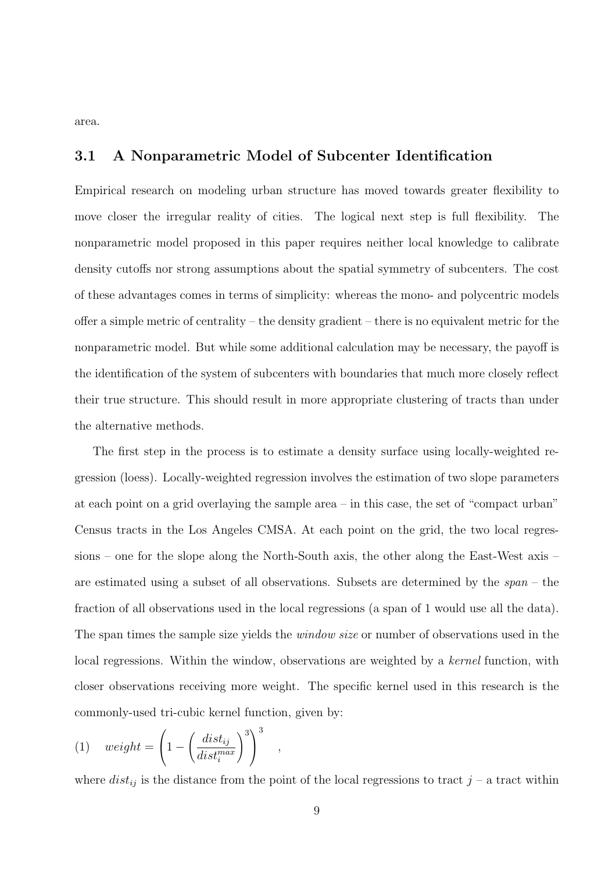area.

### 3.1 A Nonparametric Model of Subcenter Identification

Empirical research on modeling urban structure has moved towards greater flexibility to move closer the irregular reality of cities. The logical next step is full flexibility. The nonparametric model proposed in this paper requires neither local knowledge to calibrate density cutoffs nor strong assumptions about the spatial symmetry of subcenters. The cost of these advantages comes in terms of simplicity: whereas the mono- and polycentric models offer a simple metric of centrality – the density gradient – there is no equivalent metric for the nonparametric model. But while some additional calculation may be necessary, the payoff is the identification of the system of subcenters with boundaries that much more closely reflect their true structure. This should result in more appropriate clustering of tracts than under the alternative methods.

The first step in the process is to estimate a density surface using locally-weighted regression (loess). Locally-weighted regression involves the estimation of two slope parameters at each point on a grid overlaying the sample area – in this case, the set of "compact urban" Census tracts in the Los Angeles CMSA. At each point on the grid, the two local regressions – one for the slope along the North-South axis, the other along the East-West axis – are estimated using a subset of all observations. Subsets are determined by the span – the fraction of all observations used in the local regressions (a span of 1 would use all the data). The span times the sample size yields the *window size* or number of observations used in the local regressions. Within the window, observations are weighted by a kernel function, with closer observations receiving more weight. The specific kernel used in this research is the commonly-used tri-cubic kernel function, given by:

(1) 
$$
weight = \left(1 - \left(\frac{dist_{ij}}{dist_i^{max}}\right)^3\right)^3
$$
,

where  $dist_{ij}$  is the distance from the point of the local regressions to tract j – a tract within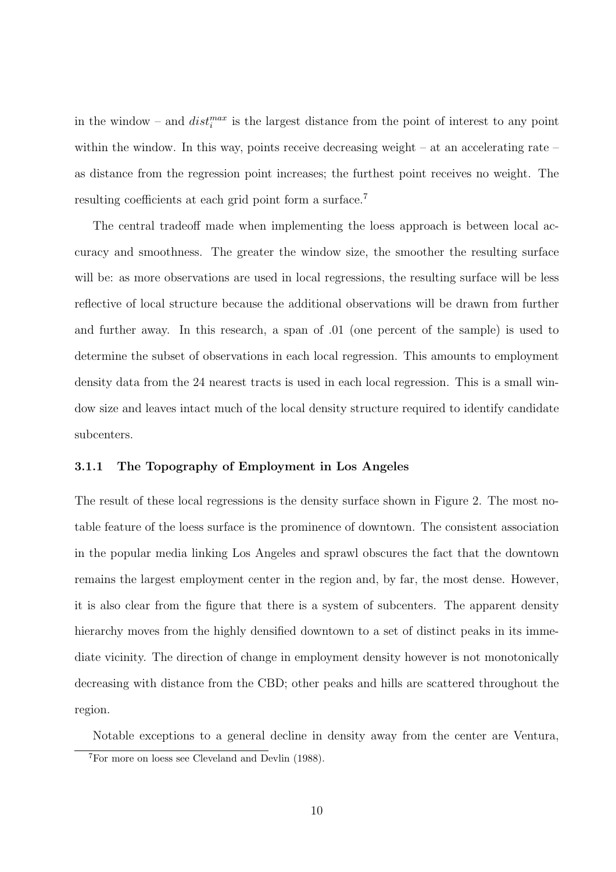in the window – and  $dist_i^{max}$  is the largest distance from the point of interest to any point within the window. In this way, points receive decreasing weight – at an accelerating rate – as distance from the regression point increases; the furthest point receives no weight. The resulting coefficients at each grid point form a surface.<sup>7</sup>

The central tradeoff made when implementing the loess approach is between local accuracy and smoothness. The greater the window size, the smoother the resulting surface will be: as more observations are used in local regressions, the resulting surface will be less reflective of local structure because the additional observations will be drawn from further and further away. In this research, a span of .01 (one percent of the sample) is used to determine the subset of observations in each local regression. This amounts to employment density data from the 24 nearest tracts is used in each local regression. This is a small window size and leaves intact much of the local density structure required to identify candidate subcenters.

### 3.1.1 The Topography of Employment in Los Angeles

The result of these local regressions is the density surface shown in Figure 2. The most notable feature of the loess surface is the prominence of downtown. The consistent association in the popular media linking Los Angeles and sprawl obscures the fact that the downtown remains the largest employment center in the region and, by far, the most dense. However, it is also clear from the figure that there is a system of subcenters. The apparent density hierarchy moves from the highly densified downtown to a set of distinct peaks in its immediate vicinity. The direction of change in employment density however is not monotonically decreasing with distance from the CBD; other peaks and hills are scattered throughout the region.

Notable exceptions to a general decline in density away from the center are Ventura,

<sup>7</sup>For more on loess see Cleveland and Devlin (1988).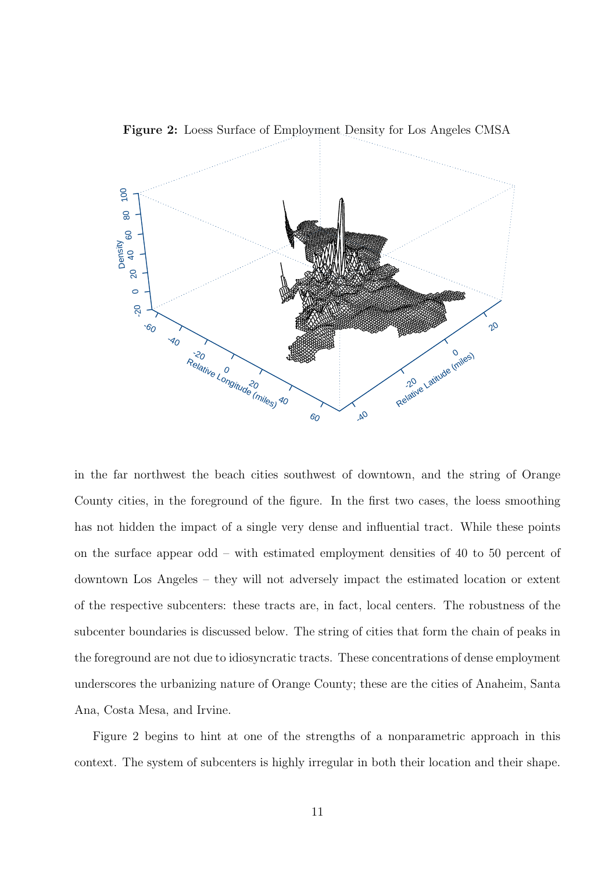

Figure 2: Loess Surface of Employment Density for Los Angeles CMSA

in the far northwest the beach cities southwest of downtown, and the string of Orange County cities, in the foreground of the figure. In the first two cases, the loess smoothing has not hidden the impact of a single very dense and influential tract. While these points on the surface appear odd – with estimated employment densities of 40 to 50 percent of downtown Los Angeles – they will not adversely impact the estimated location or extent of the respective subcenters: these tracts are, in fact, local centers. The robustness of the subcenter boundaries is discussed below. The string of cities that form the chain of peaks in the foreground are not due to idiosyncratic tracts. These concentrations of dense employment underscores the urbanizing nature of Orange County; these are the cities of Anaheim, Santa Ana, Costa Mesa, and Irvine.

Figure 2 begins to hint at one of the strengths of a nonparametric approach in this context. The system of subcenters is highly irregular in both their location and their shape.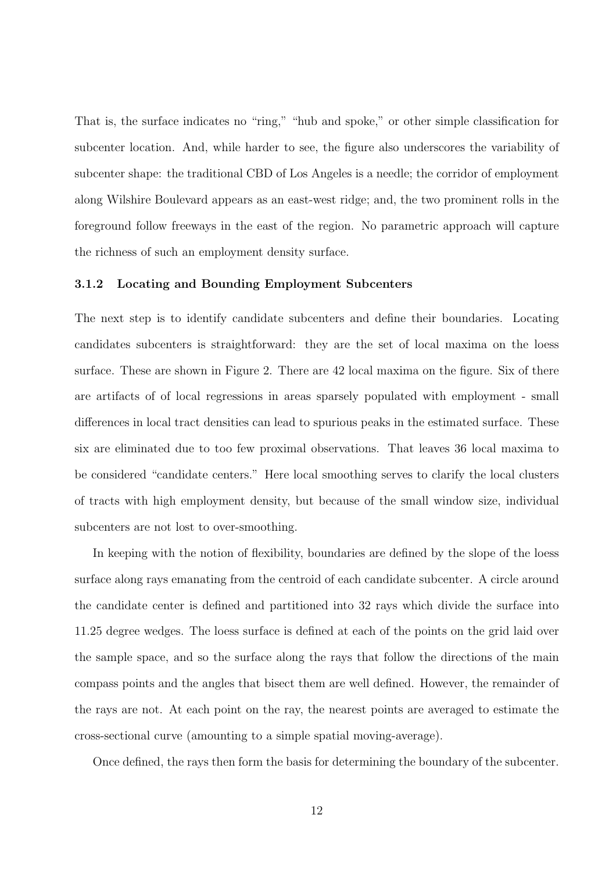That is, the surface indicates no "ring," "hub and spoke," or other simple classification for subcenter location. And, while harder to see, the figure also underscores the variability of subcenter shape: the traditional CBD of Los Angeles is a needle; the corridor of employment along Wilshire Boulevard appears as an east-west ridge; and, the two prominent rolls in the foreground follow freeways in the east of the region. No parametric approach will capture the richness of such an employment density surface.

### 3.1.2 Locating and Bounding Employment Subcenters

The next step is to identify candidate subcenters and define their boundaries. Locating candidates subcenters is straightforward: they are the set of local maxima on the loess surface. These are shown in Figure 2. There are 42 local maxima on the figure. Six of there are artifacts of of local regressions in areas sparsely populated with employment - small differences in local tract densities can lead to spurious peaks in the estimated surface. These six are eliminated due to too few proximal observations. That leaves 36 local maxima to be considered "candidate centers." Here local smoothing serves to clarify the local clusters of tracts with high employment density, but because of the small window size, individual subcenters are not lost to over-smoothing.

In keeping with the notion of flexibility, boundaries are defined by the slope of the loess surface along rays emanating from the centroid of each candidate subcenter. A circle around the candidate center is defined and partitioned into 32 rays which divide the surface into 11.25 degree wedges. The loess surface is defined at each of the points on the grid laid over the sample space, and so the surface along the rays that follow the directions of the main compass points and the angles that bisect them are well defined. However, the remainder of the rays are not. At each point on the ray, the nearest points are averaged to estimate the cross-sectional curve (amounting to a simple spatial moving-average).

Once defined, the rays then form the basis for determining the boundary of the subcenter.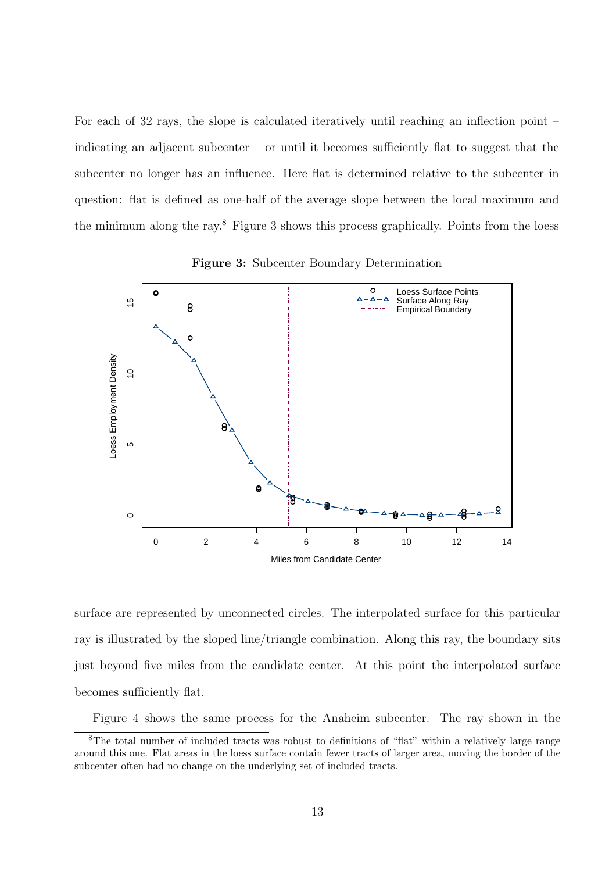For each of 32 rays, the slope is calculated iteratively until reaching an inflection point – indicating an adjacent subcenter – or until it becomes sufficiently flat to suggest that the subcenter no longer has an influence. Here flat is determined relative to the subcenter in question: flat is defined as one-half of the average slope between the local maximum and the minimum along the ray.<sup>8</sup> Figure 3 shows this process graphically. Points from the loess



Figure 3: Subcenter Boundary Determination

surface are represented by unconnected circles. The interpolated surface for this particular ray is illustrated by the sloped line/triangle combination. Along this ray, the boundary sits just beyond five miles from the candidate center. At this point the interpolated surface becomes sufficiently flat.

Figure 4 shows the same process for the Anaheim subcenter. The ray shown in the

<sup>8</sup>The total number of included tracts was robust to definitions of "flat" within a relatively large range around this one. Flat areas in the loess surface contain fewer tracts of larger area, moving the border of the subcenter often had no change on the underlying set of included tracts.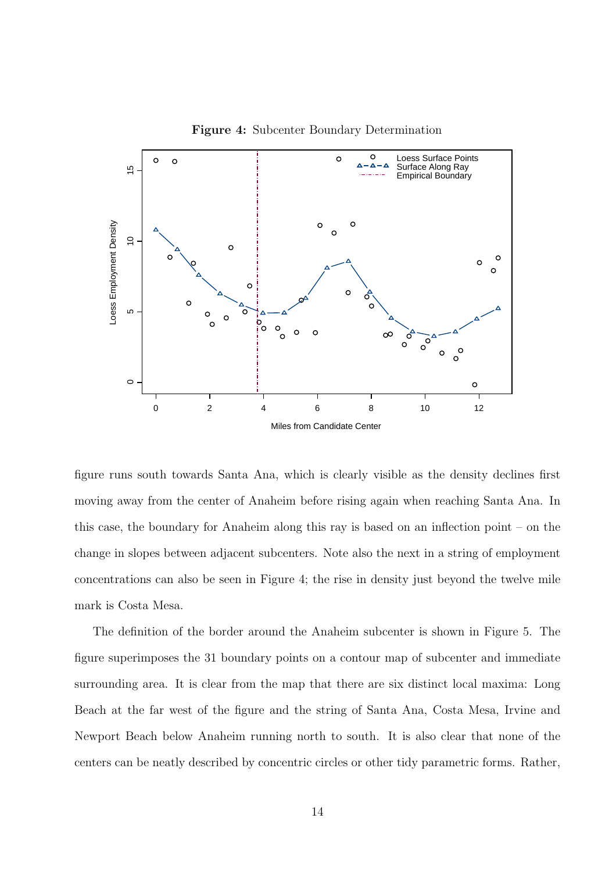

Figure 4: Subcenter Boundary Determination

figure runs south towards Santa Ana, which is clearly visible as the density declines first moving away from the center of Anaheim before rising again when reaching Santa Ana. In this case, the boundary for Anaheim along this ray is based on an inflection point – on the change in slopes between adjacent subcenters. Note also the next in a string of employment concentrations can also be seen in Figure 4; the rise in density just beyond the twelve mile mark is Costa Mesa.

The definition of the border around the Anaheim subcenter is shown in Figure 5. The figure superimposes the 31 boundary points on a contour map of subcenter and immediate surrounding area. It is clear from the map that there are six distinct local maxima: Long Beach at the far west of the figure and the string of Santa Ana, Costa Mesa, Irvine and Newport Beach below Anaheim running north to south. It is also clear that none of the centers can be neatly described by concentric circles or other tidy parametric forms. Rather,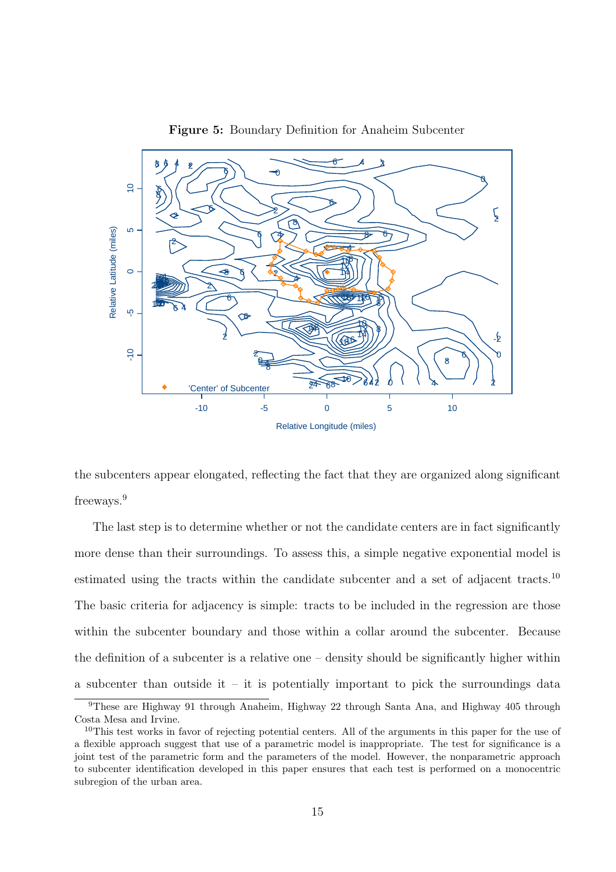

Figure 5: Boundary Definition for Anaheim Subcenter

the subcenters appear elongated, reflecting the fact that they are organized along significant freeways.<sup>9</sup>

The last step is to determine whether or not the candidate centers are in fact significantly more dense than their surroundings. To assess this, a simple negative exponential model is estimated using the tracts within the candidate subcenter and a set of adjacent tracts.<sup>10</sup> The basic criteria for adjacency is simple: tracts to be included in the regression are those within the subcenter boundary and those within a collar around the subcenter. Because the definition of a subcenter is a relative one – density should be significantly higher within a subcenter than outside it – it is potentially important to pick the surroundings data

These are Highway 91 through Anaheim, Highway 22 through Santa Ana, and Highway 405 through Costa Mesa and Irvine.

This test works in favor of rejecting potential centers. All of the arguments in this paper for the use of a flexible approach suggest that use of a parametric model is inappropriate. The test for significance is a joint test of the parametric form and the parameters of the model. However, the nonparametric approach to subcenter identification developed in this paper ensures that each test is performed on a monocentric subregion of the urban area.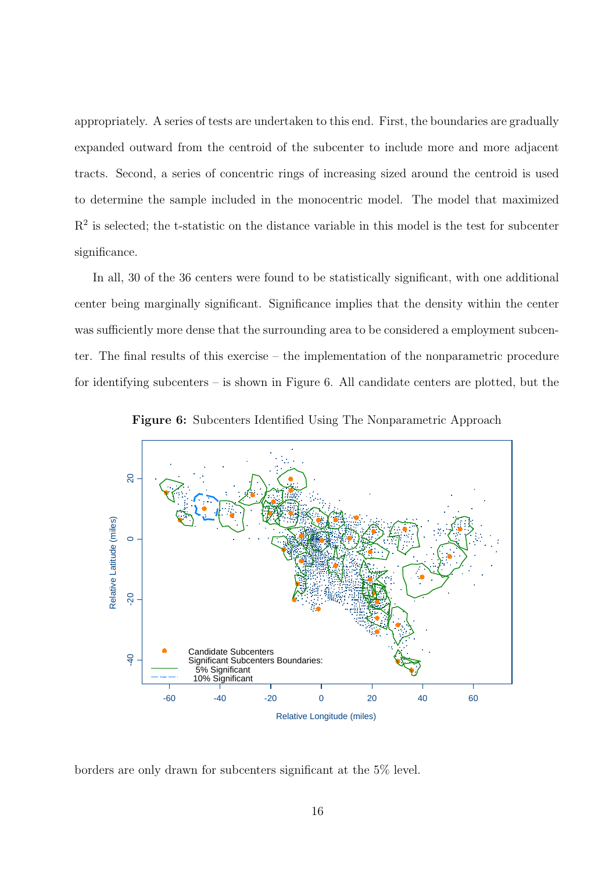appropriately. A series of tests are undertaken to this end. First, the boundaries are gradually expanded outward from the centroid of the subcenter to include more and more adjacent tracts. Second, a series of concentric rings of increasing sized around the centroid is used to determine the sample included in the monocentric model. The model that maximized  $R<sup>2</sup>$  is selected; the t-statistic on the distance variable in this model is the test for subcenter significance.

In all, 30 of the 36 centers were found to be statistically significant, with one additional center being marginally significant. Significance implies that the density within the center was sufficiently more dense that the surrounding area to be considered a employment subcenter. The final results of this exercise – the implementation of the nonparametric procedure for identifying subcenters – is shown in Figure 6. All candidate centers are plotted, but the



Figure 6: Subcenters Identified Using The Nonparametric Approach

borders are only drawn for subcenters significant at the 5% level.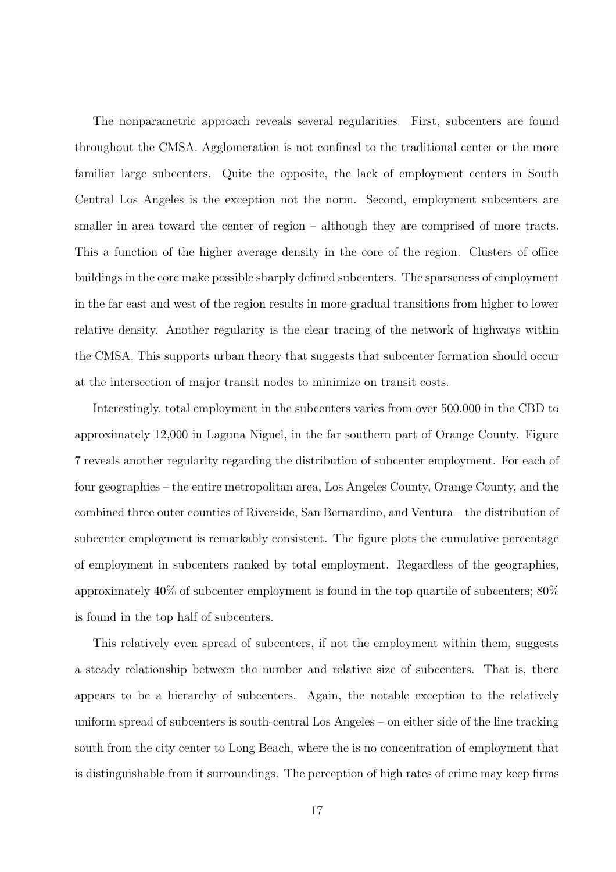The nonparametric approach reveals several regularities. First, subcenters are found throughout the CMSA. Agglomeration is not confined to the traditional center or the more familiar large subcenters. Quite the opposite, the lack of employment centers in South Central Los Angeles is the exception not the norm. Second, employment subcenters are smaller in area toward the center of region – although they are comprised of more tracts. This a function of the higher average density in the core of the region. Clusters of office buildings in the core make possible sharply defined subcenters. The sparseness of employment in the far east and west of the region results in more gradual transitions from higher to lower relative density. Another regularity is the clear tracing of the network of highways within the CMSA. This supports urban theory that suggests that subcenter formation should occur at the intersection of major transit nodes to minimize on transit costs.

Interestingly, total employment in the subcenters varies from over 500,000 in the CBD to approximately 12,000 in Laguna Niguel, in the far southern part of Orange County. Figure 7 reveals another regularity regarding the distribution of subcenter employment. For each of four geographies – the entire metropolitan area, Los Angeles County, Orange County, and the combined three outer counties of Riverside, San Bernardino, and Ventura – the distribution of subcenter employment is remarkably consistent. The figure plots the cumulative percentage of employment in subcenters ranked by total employment. Regardless of the geographies, approximately 40% of subcenter employment is found in the top quartile of subcenters; 80% is found in the top half of subcenters.

This relatively even spread of subcenters, if not the employment within them, suggests a steady relationship between the number and relative size of subcenters. That is, there appears to be a hierarchy of subcenters. Again, the notable exception to the relatively uniform spread of subcenters is south-central Los Angeles – on either side of the line tracking south from the city center to Long Beach, where the is no concentration of employment that is distinguishable from it surroundings. The perception of high rates of crime may keep firms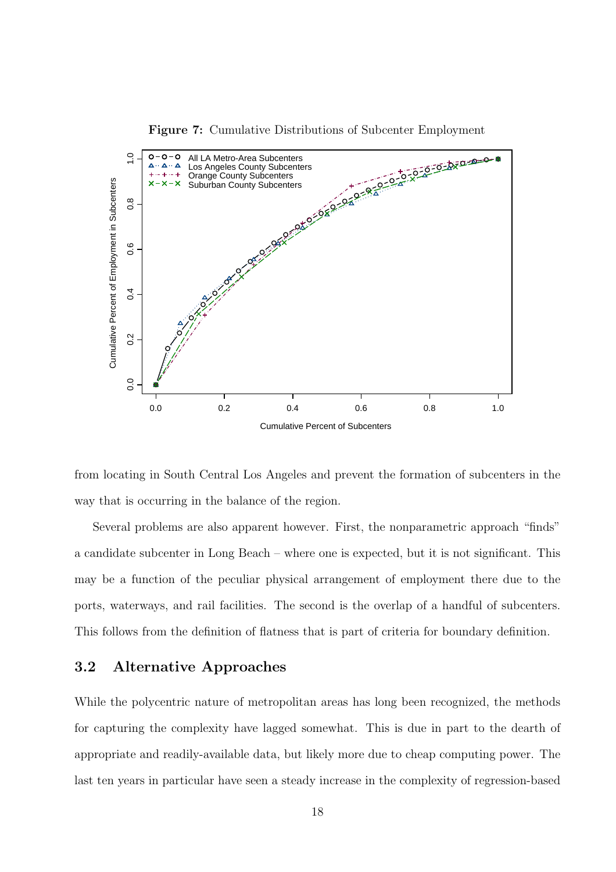

Figure 7: Cumulative Distributions of Subcenter Employment

from locating in South Central Los Angeles and prevent the formation of subcenters in the way that is occurring in the balance of the region.

Several problems are also apparent however. First, the nonparametric approach "finds" a candidate subcenter in Long Beach – where one is expected, but it is not significant. This may be a function of the peculiar physical arrangement of employment there due to the ports, waterways, and rail facilities. The second is the overlap of a handful of subcenters. This follows from the definition of flatness that is part of criteria for boundary definition.

### 3.2 Alternative Approaches

While the polycentric nature of metropolitan areas has long been recognized, the methods for capturing the complexity have lagged somewhat. This is due in part to the dearth of appropriate and readily-available data, but likely more due to cheap computing power. The last ten years in particular have seen a steady increase in the complexity of regression-based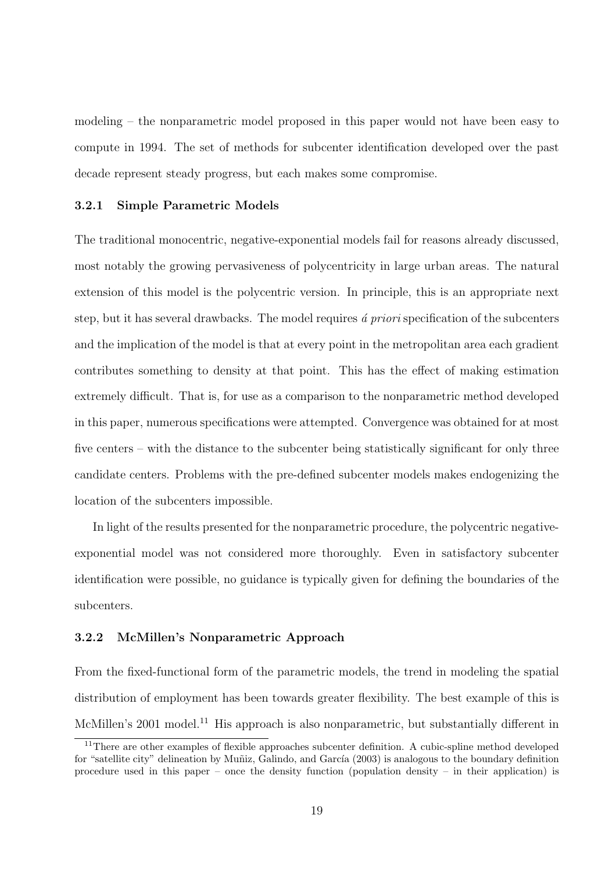modeling – the nonparametric model proposed in this paper would not have been easy to compute in 1994. The set of methods for subcenter identification developed over the past decade represent steady progress, but each makes some compromise.

### 3.2.1 Simple Parametric Models

The traditional monocentric, negative-exponential models fail for reasons already discussed, most notably the growing pervasiveness of polycentricity in large urban areas. The natural extension of this model is the polycentric version. In principle, this is an appropriate next step, but it has several drawbacks. The model requires  $\acute{a}$  priori specification of the subcenters and the implication of the model is that at every point in the metropolitan area each gradient contributes something to density at that point. This has the effect of making estimation extremely difficult. That is, for use as a comparison to the nonparametric method developed in this paper, numerous specifications were attempted. Convergence was obtained for at most five centers – with the distance to the subcenter being statistically significant for only three candidate centers. Problems with the pre-defined subcenter models makes endogenizing the location of the subcenters impossible.

In light of the results presented for the nonparametric procedure, the polycentric negativeexponential model was not considered more thoroughly. Even in satisfactory subcenter identification were possible, no guidance is typically given for defining the boundaries of the subcenters.

### 3.2.2 McMillen's Nonparametric Approach

From the fixed-functional form of the parametric models, the trend in modeling the spatial distribution of employment has been towards greater flexibility. The best example of this is McMillen's 2001 model.<sup>11</sup> His approach is also nonparametric, but substantially different in

<sup>&</sup>lt;sup>11</sup>There are other examples of flexible approaches subcenter definition. A cubic-spline method developed for "satellite city" delineation by Muñiz, Galindo, and García (2003) is analogous to the boundary definition procedure used in this paper – once the density function (population density – in their application) is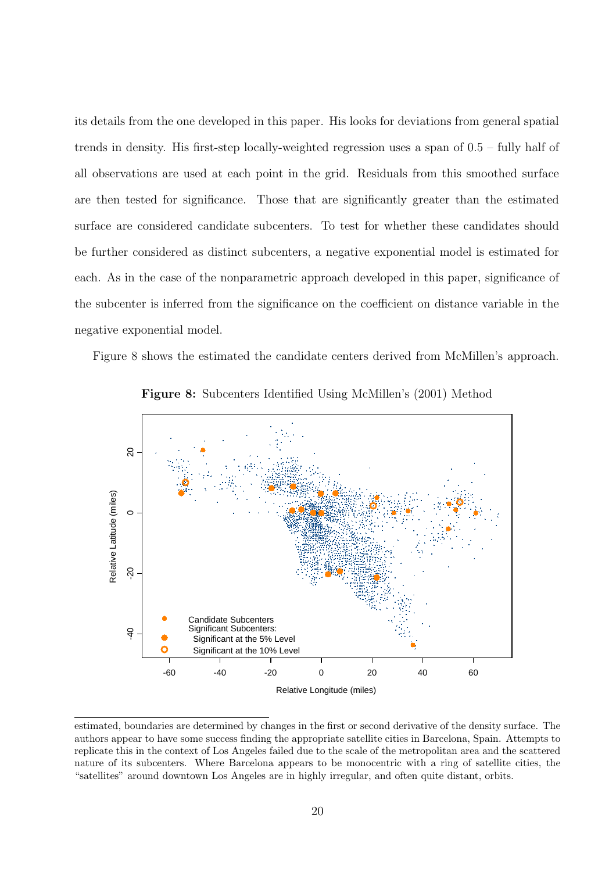its details from the one developed in this paper. His looks for deviations from general spatial trends in density. His first-step locally-weighted regression uses a span of 0.5 – fully half of all observations are used at each point in the grid. Residuals from this smoothed surface are then tested for significance. Those that are significantly greater than the estimated surface are considered candidate subcenters. To test for whether these candidates should be further considered as distinct subcenters, a negative exponential model is estimated for each. As in the case of the nonparametric approach developed in this paper, significance of the subcenter is inferred from the significance on the coefficient on distance variable in the negative exponential model.

Figure 8 shows the estimated the candidate centers derived from McMillen's approach.



Figure 8: Subcenters Identified Using McMillen's (2001) Method

estimated, boundaries are determined by changes in the first or second derivative of the density surface. The authors appear to have some success finding the appropriate satellite cities in Barcelona, Spain. Attempts to replicate this in the context of Los Angeles failed due to the scale of the metropolitan area and the scattered nature of its subcenters. Where Barcelona appears to be monocentric with a ring of satellite cities, the "satellites" around downtown Los Angeles are in highly irregular, and often quite distant, orbits.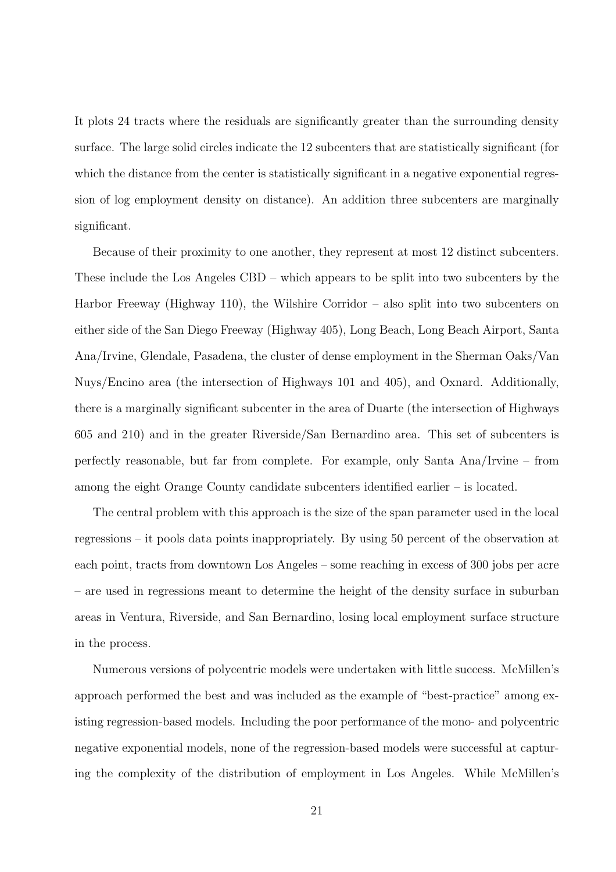It plots 24 tracts where the residuals are significantly greater than the surrounding density surface. The large solid circles indicate the 12 subcenters that are statistically significant (for which the distance from the center is statistically significant in a negative exponential regression of log employment density on distance). An addition three subcenters are marginally significant.

Because of their proximity to one another, they represent at most 12 distinct subcenters. These include the Los Angeles CBD – which appears to be split into two subcenters by the Harbor Freeway (Highway 110), the Wilshire Corridor – also split into two subcenters on either side of the San Diego Freeway (Highway 405), Long Beach, Long Beach Airport, Santa Ana/Irvine, Glendale, Pasadena, the cluster of dense employment in the Sherman Oaks/Van Nuys/Encino area (the intersection of Highways 101 and 405), and Oxnard. Additionally, there is a marginally significant subcenter in the area of Duarte (the intersection of Highways 605 and 210) and in the greater Riverside/San Bernardino area. This set of subcenters is perfectly reasonable, but far from complete. For example, only Santa Ana/Irvine – from among the eight Orange County candidate subcenters identified earlier – is located.

The central problem with this approach is the size of the span parameter used in the local regressions – it pools data points inappropriately. By using 50 percent of the observation at each point, tracts from downtown Los Angeles – some reaching in excess of 300 jobs per acre – are used in regressions meant to determine the height of the density surface in suburban areas in Ventura, Riverside, and San Bernardino, losing local employment surface structure in the process.

Numerous versions of polycentric models were undertaken with little success. McMillen's approach performed the best and was included as the example of "best-practice" among existing regression-based models. Including the poor performance of the mono- and polycentric negative exponential models, none of the regression-based models were successful at capturing the complexity of the distribution of employment in Los Angeles. While McMillen's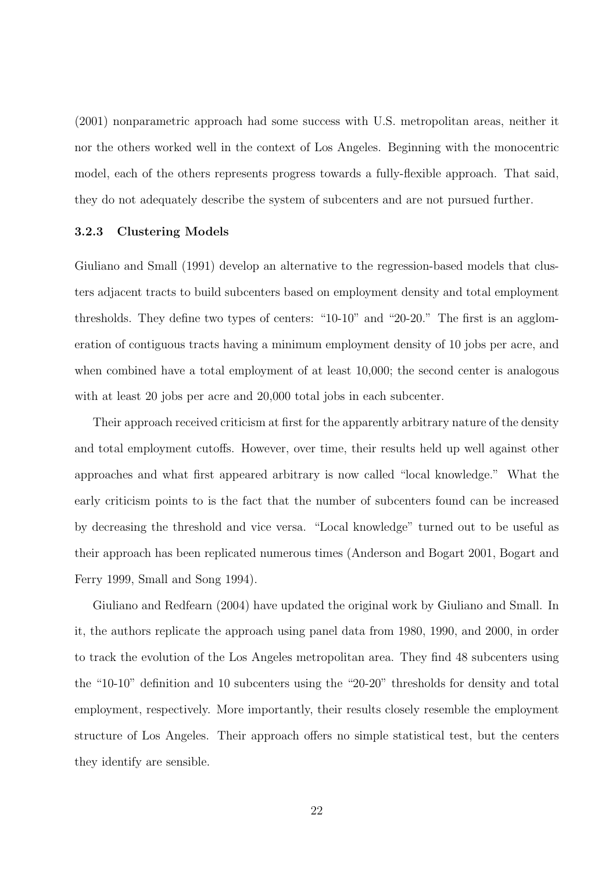(2001) nonparametric approach had some success with U.S. metropolitan areas, neither it nor the others worked well in the context of Los Angeles. Beginning with the monocentric model, each of the others represents progress towards a fully-flexible approach. That said, they do not adequately describe the system of subcenters and are not pursued further.

#### 3.2.3 Clustering Models

Giuliano and Small (1991) develop an alternative to the regression-based models that clusters adjacent tracts to build subcenters based on employment density and total employment thresholds. They define two types of centers: "10-10" and "20-20." The first is an agglomeration of contiguous tracts having a minimum employment density of 10 jobs per acre, and when combined have a total employment of at least 10,000; the second center is analogous with at least 20 jobs per acre and 20,000 total jobs in each subcenter.

Their approach received criticism at first for the apparently arbitrary nature of the density and total employment cutoffs. However, over time, their results held up well against other approaches and what first appeared arbitrary is now called "local knowledge." What the early criticism points to is the fact that the number of subcenters found can be increased by decreasing the threshold and vice versa. "Local knowledge" turned out to be useful as their approach has been replicated numerous times (Anderson and Bogart 2001, Bogart and Ferry 1999, Small and Song 1994).

Giuliano and Redfearn (2004) have updated the original work by Giuliano and Small. In it, the authors replicate the approach using panel data from 1980, 1990, and 2000, in order to track the evolution of the Los Angeles metropolitan area. They find 48 subcenters using the "10-10" definition and 10 subcenters using the "20-20" thresholds for density and total employment, respectively. More importantly, their results closely resemble the employment structure of Los Angeles. Their approach offers no simple statistical test, but the centers they identify are sensible.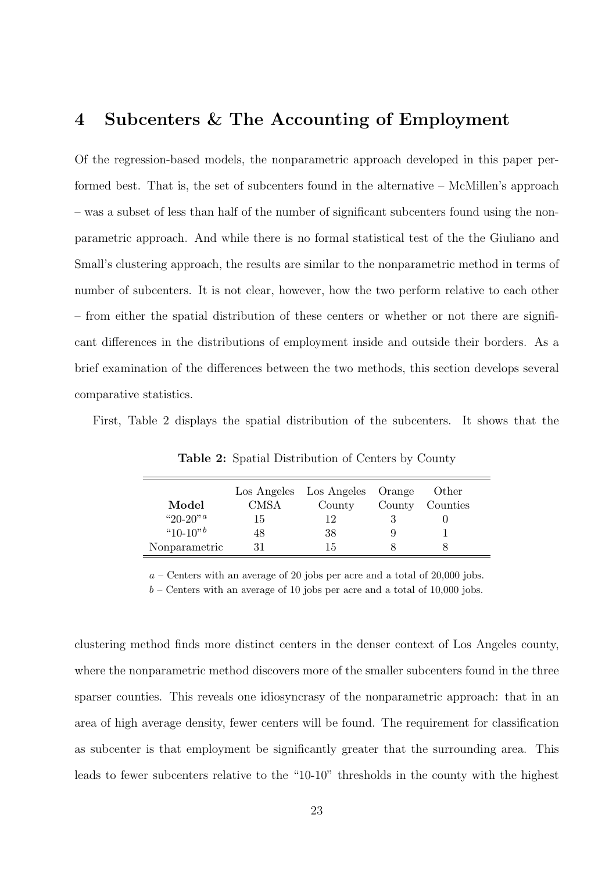## 4 Subcenters & The Accounting of Employment

Of the regression-based models, the nonparametric approach developed in this paper performed best. That is, the set of subcenters found in the alternative – McMillen's approach – was a subset of less than half of the number of significant subcenters found using the nonparametric approach. And while there is no formal statistical test of the the Giuliano and Small's clustering approach, the results are similar to the nonparametric method in terms of number of subcenters. It is not clear, however, how the two perform relative to each other – from either the spatial distribution of these centers or whether or not there are significant differences in the distributions of employment inside and outside their borders. As a brief examination of the differences between the two methods, this section develops several comparative statistics.

First, Table 2 displays the spatial distribution of the subcenters. It shows that the

| Model                       | <b>CMSA</b> | Los Angeles Los Angeles Orange<br>County | County | Other<br>Counties |  |
|-----------------------------|-------------|------------------------------------------|--------|-------------------|--|
| "20-20" <sup><i>a</i></sup> | 15          | 12                                       |        |                   |  |
| " $10-10$ "                 | 48          | 38                                       |        |                   |  |
| Nonparametric               | 31          | 15                                       |        |                   |  |

Table 2: Spatial Distribution of Centers by County

 $a$  – Centers with an average of 20 jobs per acre and a total of 20,000 jobs.

 $b$  – Centers with an average of 10 jobs per acre and a total of 10,000 jobs.

clustering method finds more distinct centers in the denser context of Los Angeles county, where the nonparametric method discovers more of the smaller subcenters found in the three sparser counties. This reveals one idiosyncrasy of the nonparametric approach: that in an area of high average density, fewer centers will be found. The requirement for classification as subcenter is that employment be significantly greater that the surrounding area. This leads to fewer subcenters relative to the "10-10" thresholds in the county with the highest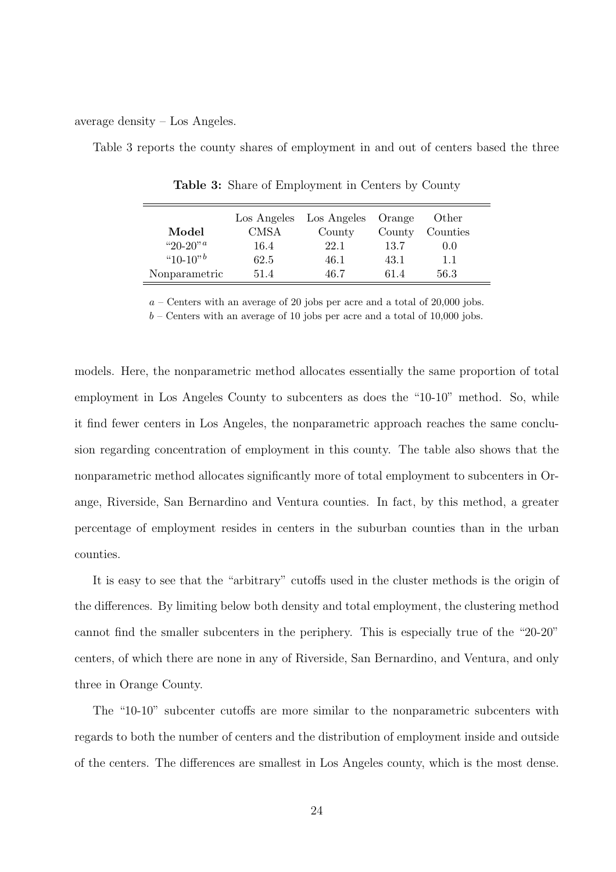average density – Los Angeles.

Table 3 reports the county shares of employment in and out of centers based the three

|                             | Los Angeles | Los Angeles | Orange | Other    |  |
|-----------------------------|-------------|-------------|--------|----------|--|
| Model                       | CMSA        | County      | County | Counties |  |
| "20-20" <sup><i>a</i></sup> | 16.4        | 22.1        | 13.7   | 0.0      |  |
| " $10-10"$                  | 62.5        | 46.1        | 43.1   | 11       |  |
| Nonparametric               | 51.4        | 46 7        | 614    | 56.3     |  |

Table 3: Share of Employment in Centers by County

 $a$  – Centers with an average of 20 jobs per acre and a total of 20,000 jobs.

 $b$  – Centers with an average of 10 jobs per acre and a total of 10,000 jobs.

models. Here, the nonparametric method allocates essentially the same proportion of total employment in Los Angeles County to subcenters as does the "10-10" method. So, while it find fewer centers in Los Angeles, the nonparametric approach reaches the same conclusion regarding concentration of employment in this county. The table also shows that the nonparametric method allocates significantly more of total employment to subcenters in Orange, Riverside, San Bernardino and Ventura counties. In fact, by this method, a greater percentage of employment resides in centers in the suburban counties than in the urban counties.

It is easy to see that the "arbitrary" cutoffs used in the cluster methods is the origin of the differences. By limiting below both density and total employment, the clustering method cannot find the smaller subcenters in the periphery. This is especially true of the "20-20" centers, of which there are none in any of Riverside, San Bernardino, and Ventura, and only three in Orange County.

The "10-10" subcenter cutoffs are more similar to the nonparametric subcenters with regards to both the number of centers and the distribution of employment inside and outside of the centers. The differences are smallest in Los Angeles county, which is the most dense.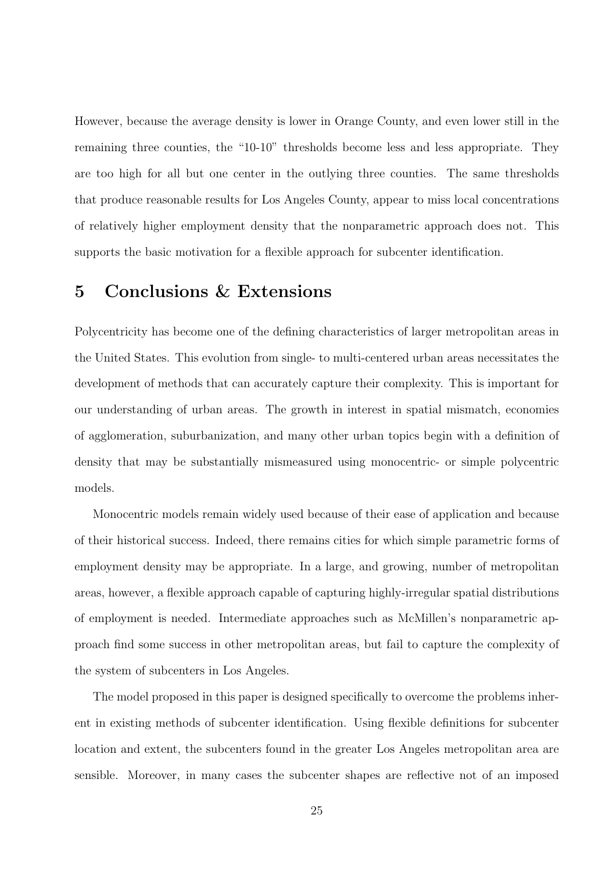However, because the average density is lower in Orange County, and even lower still in the remaining three counties, the "10-10" thresholds become less and less appropriate. They are too high for all but one center in the outlying three counties. The same thresholds that produce reasonable results for Los Angeles County, appear to miss local concentrations of relatively higher employment density that the nonparametric approach does not. This supports the basic motivation for a flexible approach for subcenter identification.

# 5 Conclusions & Extensions

Polycentricity has become one of the defining characteristics of larger metropolitan areas in the United States. This evolution from single- to multi-centered urban areas necessitates the development of methods that can accurately capture their complexity. This is important for our understanding of urban areas. The growth in interest in spatial mismatch, economies of agglomeration, suburbanization, and many other urban topics begin with a definition of density that may be substantially mismeasured using monocentric- or simple polycentric models.

Monocentric models remain widely used because of their ease of application and because of their historical success. Indeed, there remains cities for which simple parametric forms of employment density may be appropriate. In a large, and growing, number of metropolitan areas, however, a flexible approach capable of capturing highly-irregular spatial distributions of employment is needed. Intermediate approaches such as McMillen's nonparametric approach find some success in other metropolitan areas, but fail to capture the complexity of the system of subcenters in Los Angeles.

The model proposed in this paper is designed specifically to overcome the problems inherent in existing methods of subcenter identification. Using flexible definitions for subcenter location and extent, the subcenters found in the greater Los Angeles metropolitan area are sensible. Moreover, in many cases the subcenter shapes are reflective not of an imposed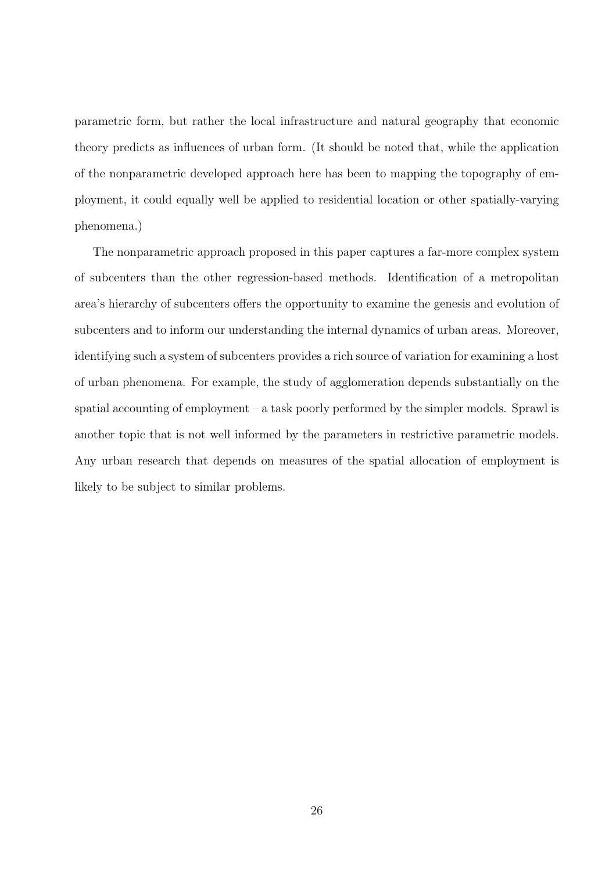parametric form, but rather the local infrastructure and natural geography that economic theory predicts as influences of urban form. (It should be noted that, while the application of the nonparametric developed approach here has been to mapping the topography of employment, it could equally well be applied to residential location or other spatially-varying phenomena.)

The nonparametric approach proposed in this paper captures a far-more complex system of subcenters than the other regression-based methods. Identification of a metropolitan area's hierarchy of subcenters offers the opportunity to examine the genesis and evolution of subcenters and to inform our understanding the internal dynamics of urban areas. Moreover, identifying such a system of subcenters provides a rich source of variation for examining a host of urban phenomena. For example, the study of agglomeration depends substantially on the spatial accounting of employment – a task poorly performed by the simpler models. Sprawl is another topic that is not well informed by the parameters in restrictive parametric models. Any urban research that depends on measures of the spatial allocation of employment is likely to be subject to similar problems.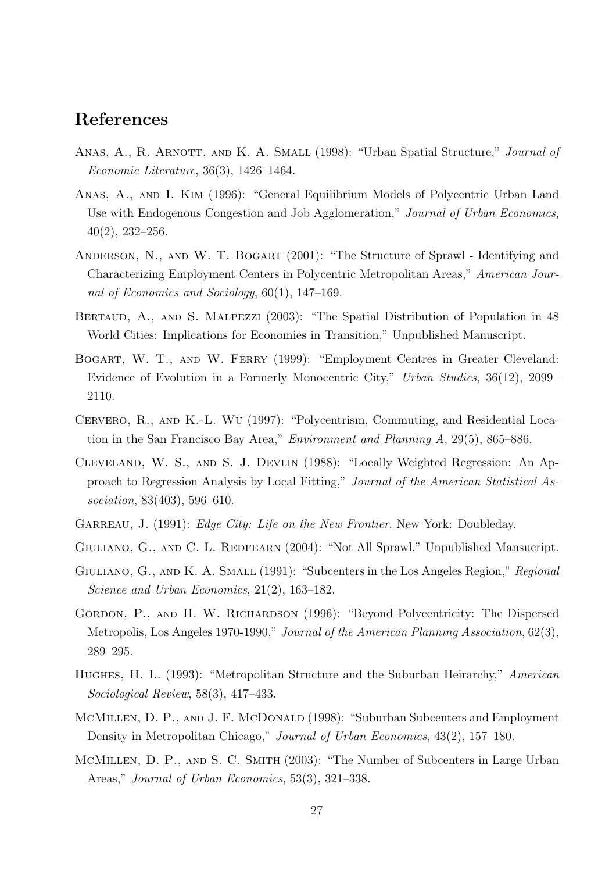# References

- ANAS, A., R. ARNOTT, AND K. A. SMALL (1998): "Urban Spatial Structure," Journal of Economic Literature, 36(3), 1426–1464.
- Anas, A., and I. Kim (1996): "General Equilibrium Models of Polycentric Urban Land Use with Endogenous Congestion and Job Agglomeration," Journal of Urban Economics, 40(2), 232–256.
- ANDERSON, N., AND W. T. BOGART (2001): "The Structure of Sprawl Identifying and Characterizing Employment Centers in Polycentric Metropolitan Areas," American Journal of Economics and Sociology, 60(1), 147–169.
- BERTAUD, A., AND S. MALPEZZI (2003): "The Spatial Distribution of Population in 48 World Cities: Implications for Economies in Transition," Unpublished Manuscript.
- BOGART, W. T., AND W. FERRY (1999): "Employment Centres in Greater Cleveland: Evidence of Evolution in a Formerly Monocentric City," Urban Studies, 36(12), 2099– 2110.
- Cervero, R., and K.-L. Wu (1997): "Polycentrism, Commuting, and Residential Location in the San Francisco Bay Area," Environment and Planning A, 29(5), 865–886.
- Cleveland, W. S., and S. J. Devlin (1988): "Locally Weighted Regression: An Approach to Regression Analysis by Local Fitting," Journal of the American Statistical Association, 83(403), 596–610.
- GARREAU, J. (1991): *Edge City: Life on the New Frontier*. New York: Doubleday.
- GIULIANO, G., AND C. L. REDFEARN (2004): "Not All Sprawl," Unpublished Mansucript.
- GIULIANO, G., AND K. A. SMALL (1991): "Subcenters in the Los Angeles Region," Regional Science and Urban Economics, 21(2), 163–182.
- GORDON, P., AND H. W. RICHARDSON (1996): "Beyond Polycentricity: The Dispersed Metropolis, Los Angeles 1970-1990," Journal of the American Planning Association, 62(3), 289–295.
- Hughes, H. L. (1993): "Metropolitan Structure and the Suburban Heirarchy," American Sociological Review, 58(3), 417–433.
- MCMILLEN, D. P., AND J. F. MCDONALD (1998): "Suburban Subcenters and Employment Density in Metropolitan Chicago," Journal of Urban Economics, 43(2), 157–180.
- MCMILLEN, D. P., AND S. C. SMITH (2003): "The Number of Subcenters in Large Urban Areas," Journal of Urban Economics, 53(3), 321–338.